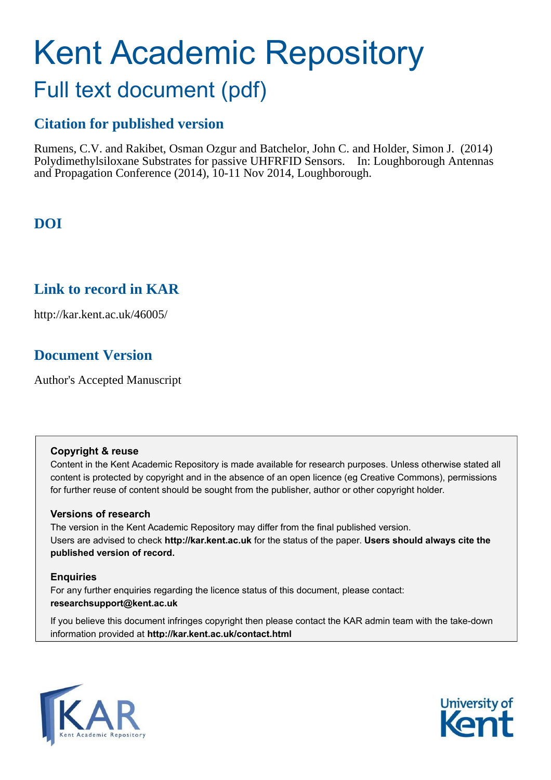# Kent Academic Repository Full text document (pdf)

## **Citation for published version**

Rumens, C.V. and Rakibet, Osman Ozgur and Batchelor, John C. and Holder, Simon J. (2014) Polydimethylsiloxane Substrates for passive UHFRFID Sensors. In: Loughborough Antennas and Propagation Conference (2014), 10-11 Nov 2014, Loughborough.

## **DOI**

## **Link to record in KAR**

http://kar.kent.ac.uk/46005/

## **Document Version**

Author's Accepted Manuscript

### **Copyright & reuse**

Content in the Kent Academic Repository is made available for research purposes. Unless otherwise stated all content is protected by copyright and in the absence of an open licence (eg Creative Commons), permissions for further reuse of content should be sought from the publisher, author or other copyright holder.

### **Versions of research**

The version in the Kent Academic Repository may differ from the final published version. Users are advised to check **http://kar.kent.ac.uk** for the status of the paper. **Users should always cite the published version of record.**

### **Enquiries**

For any further enquiries regarding the licence status of this document, please contact: **researchsupport@kent.ac.uk**

If you believe this document infringes copyright then please contact the KAR admin team with the take-down information provided at **http://kar.kent.ac.uk/contact.html**



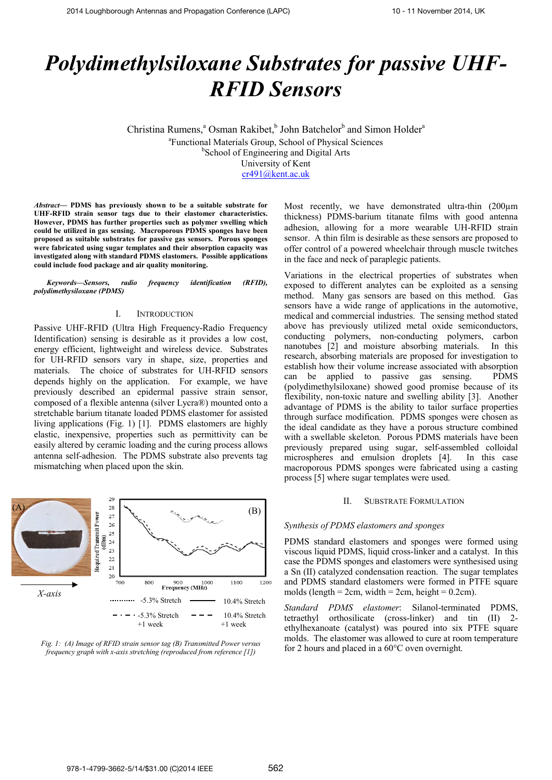## *Polydimethylsiloxane Substrates for passive UHF-RFID Sensors*

Christina Rumens,<sup>a</sup> Osman Rakibet,<sup>b</sup> John Batchelor<sup>b</sup> and Simon Holder<sup>a</sup> a Functional Materials Group, School of Physical Sciences <sup>b</sup>School of Engineering and Digital Arts University of Kent cr491@kent.ac.uk

*Abstract***ó PDMS has previously shown to be a suitable substrate for UHF-RFID strain sensor tags due to their elastomer characteristics. However, PDMS has further properties such as polymer swelling which could be utilized in gas sensing. Macroporous PDMS sponges have been proposed as suitable substrates for passive gas sensors. Porous sponges were fabricated using sugar templates and their absorption capacity was investigated along with standard PDMS elastomers. Possible applications could include food package and air quality monitoring.** 

Keywords–Sensors, radio frequency identification (RFID), *polydimethysiloxane (PDMS)* 

### I. INTRODUCTION

Passive UHF-RFID (Ultra High Frequency-Radio Frequency Identification) sensing is desirable as it provides a low cost, energy efficient, lightweight and wireless device. Substrates for UH-RFID sensors vary in shape, size, properties and materials. The choice of substrates for UH-RFID sensors depends highly on the application. For example, we have previously described an epidermal passive strain sensor, composed of a flexible antenna (silver LycraÆ) mounted onto a stretchable barium titanate loaded PDMS elastomer for assisted living applications (Fig. 1) [1]. PDMS elastomers are highly elastic, inexpensive, properties such as permittivity can be easily altered by ceramic loading and the curing process allows antenna self-adhesion. The PDMS substrate also prevents tag mismatching when placed upon the skin.





Most recently, we have demonstrated ultra-thin (200µm thickness) PDMS-barium titanate films with good antenna adhesion, allowing for a more wearable UH-RFID strain sensor. A thin film is desirable as these sensors are proposed to offer control of a powered wheelchair through muscle twitches in the face and neck of paraplegic patients.

Variations in the electrical properties of substrates when exposed to different analytes can be exploited as a sensing method. Many gas sensors are based on this method. Gas sensors have a wide range of applications in the automotive, medical and commercial industries. The sensing method stated above has previously utilized metal oxide semiconductors, conducting polymers, non-conducting polymers, carbon nanotubes [2] and moisture absorbing materials. In this research, absorbing materials are proposed for investigation to establish how their volume increase associated with absorption can be applied to passive gas sensing. PDMS (polydimethylsiloxane) showed good promise because of its flexibility, non-toxic nature and swelling ability [3]. Another advantage of PDMS is the ability to tailor surface properties through surface modification. PDMS sponges were chosen as the ideal candidate as they have a porous structure combined with a swellable skeleton. Porous PDMS materials have been previously prepared using sugar, self-assembled colloidal microspheres and emulsion droplets [4]. In this case macroporous PDMS sponges were fabricated using a casting process [5] where sugar templates were used.

### II. SUBSTRATE FORMULATION

### *Synthesis of PDMS elastomers and sponges*

PDMS standard elastomers and sponges were formed using viscous liquid PDMS, liquid cross-linker and a catalyst. In this case the PDMS sponges and elastomers were synthesised using a Sn (II) catalyzed condensation reaction. The sugar templates and PDMS standard elastomers were formed in PTFE square molds (length  $= 2cm$ , width  $= 2cm$ , height  $= 0.2cm$ ).

*Standard PDMS elastomer*: Silanol-terminated PDMS, tetraethyl orthosilicate (cross-linker) and tin (II) 2 ethylhexanoate (catalyst) was poured into six PTFE square molds. The elastomer was allowed to cure at room temperature for 2 hours and placed in a 60°C oven overnight.